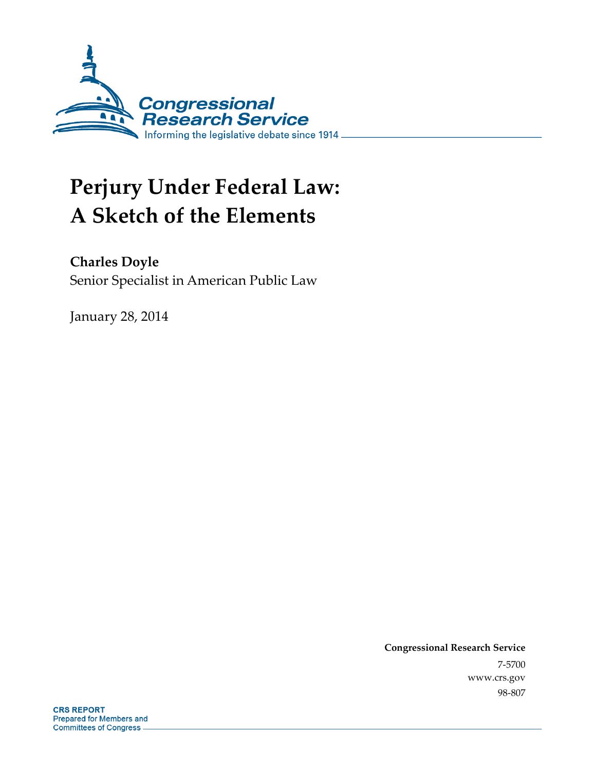

# **Perjury Under Federal Law: A Sketch of the Elements**

**Charles Doyle** 

Senior Specialist in American Public Law

January 28, 2014

**Congressional Research Service**  7-5700 www.crs.gov 98-807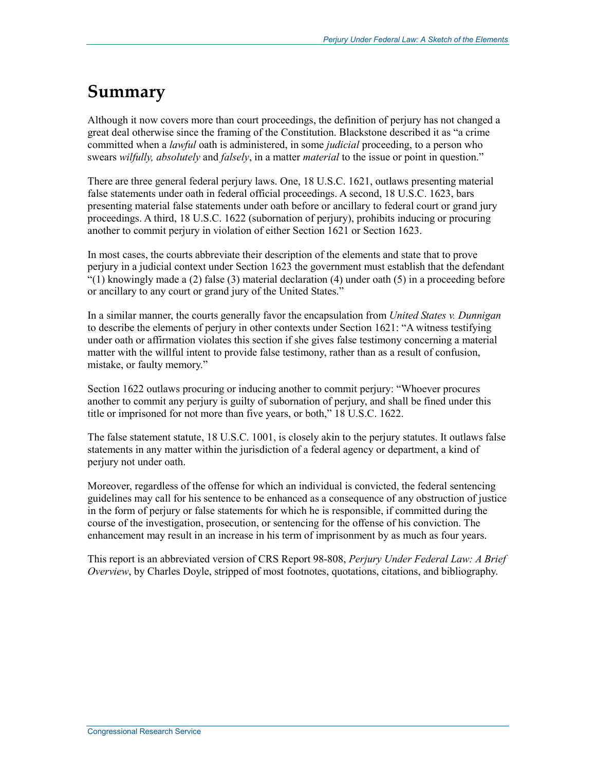#### **Summary**

Although it now covers more than court proceedings, the definition of perjury has not changed a great deal otherwise since the framing of the Constitution. Blackstone described it as "a crime committed when a *lawful* oath is administered, in some *judicial* proceeding, to a person who swears *wilfully, absolutely* and *falsely*, in a matter *material* to the issue or point in question."

There are three general federal perjury laws. One, 18 U.S.C. 1621, outlaws presenting material false statements under oath in federal official proceedings. A second, 18 U.S.C. 1623, bars presenting material false statements under oath before or ancillary to federal court or grand jury proceedings. A third, 18 U.S.C. 1622 (subornation of perjury), prohibits inducing or procuring another to commit perjury in violation of either Section 1621 or Section 1623.

In most cases, the courts abbreviate their description of the elements and state that to prove perjury in a judicial context under Section 1623 the government must establish that the defendant  $(1)$  knowingly made a (2) false (3) material declaration (4) under oath (5) in a proceeding before or ancillary to any court or grand jury of the United States."

In a similar manner, the courts generally favor the encapsulation from *United States v. Dunnigan* to describe the elements of perjury in other contexts under Section 1621: "A witness testifying under oath or affirmation violates this section if she gives false testimony concerning a material matter with the willful intent to provide false testimony, rather than as a result of confusion, mistake, or faulty memory."

Section 1622 outlaws procuring or inducing another to commit perjury: "Whoever procures another to commit any perjury is guilty of subornation of perjury, and shall be fined under this title or imprisoned for not more than five years, or both," 18 U.S.C. 1622.

The false statement statute, 18 U.S.C. 1001, is closely akin to the perjury statutes. It outlaws false statements in any matter within the jurisdiction of a federal agency or department, a kind of perjury not under oath.

Moreover, regardless of the offense for which an individual is convicted, the federal sentencing guidelines may call for his sentence to be enhanced as a consequence of any obstruction of justice in the form of perjury or false statements for which he is responsible, if committed during the course of the investigation, prosecution, or sentencing for the offense of his conviction. The enhancement may result in an increase in his term of imprisonment by as much as four years.

This report is an abbreviated version of CRS Report 98-808, *Perjury Under Federal Law: A Brief Overview*, by Charles Doyle, stripped of most footnotes, quotations, citations, and bibliography.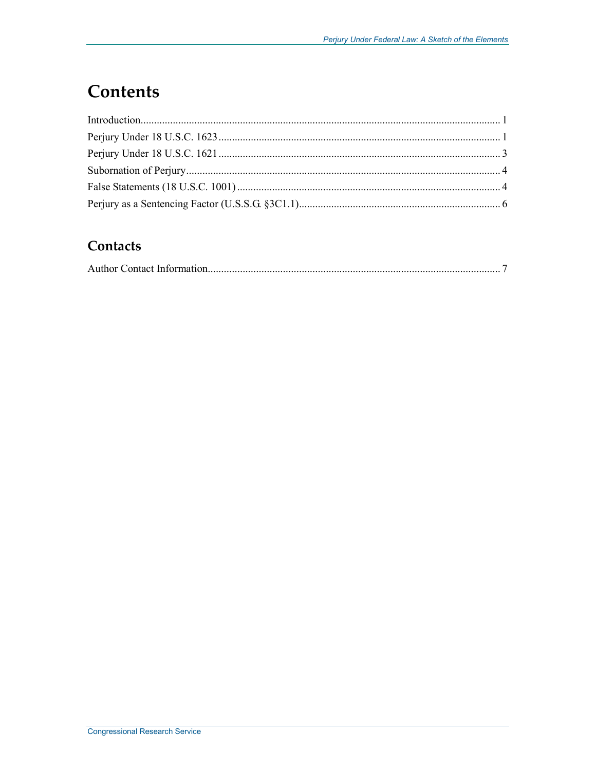### **Contents**

#### **Contacts**

|--|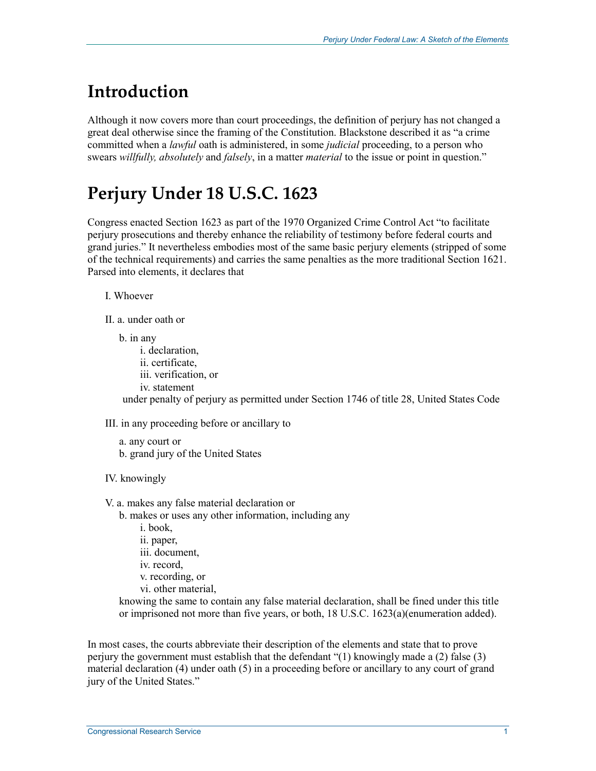#### **Introduction**

Although it now covers more than court proceedings, the definition of perjury has not changed a great deal otherwise since the framing of the Constitution. Blackstone described it as "a crime committed when a *lawful* oath is administered, in some *judicial* proceeding, to a person who swears *willfully, absolutely* and *falsely*, in a matter *material* to the issue or point in question."

## **Perjury Under 18 U.S.C. 1623**

Congress enacted Section 1623 as part of the 1970 Organized Crime Control Act "to facilitate perjury prosecutions and thereby enhance the reliability of testimony before federal courts and grand juries." It nevertheless embodies most of the same basic perjury elements (stripped of some of the technical requirements) and carries the same penalties as the more traditional Section 1621. Parsed into elements, it declares that

I. Whoever

II. a. under oath or

b. in any i. declaration, ii. certificate, iii. verification, or iv. statement under penalty of perjury as permitted under Section 1746 of title 28, United States Code

III. in any proceeding before or ancillary to

```
a. any court or 
b. grand jury of the United States
```
IV. knowingly

V. a. makes any false material declaration or

b. makes or uses any other information, including any

i. book, ii. paper, iii. document, iv. record, v. recording, or vi. other material,

knowing the same to contain any false material declaration, shall be fined under this title or imprisoned not more than five years, or both, 18 U.S.C. 1623(a)(enumeration added).

In most cases, the courts abbreviate their description of the elements and state that to prove perjury the government must establish that the defendant "(1) knowingly made a (2) false (3) material declaration (4) under oath (5) in a proceeding before or ancillary to any court of grand jury of the United States."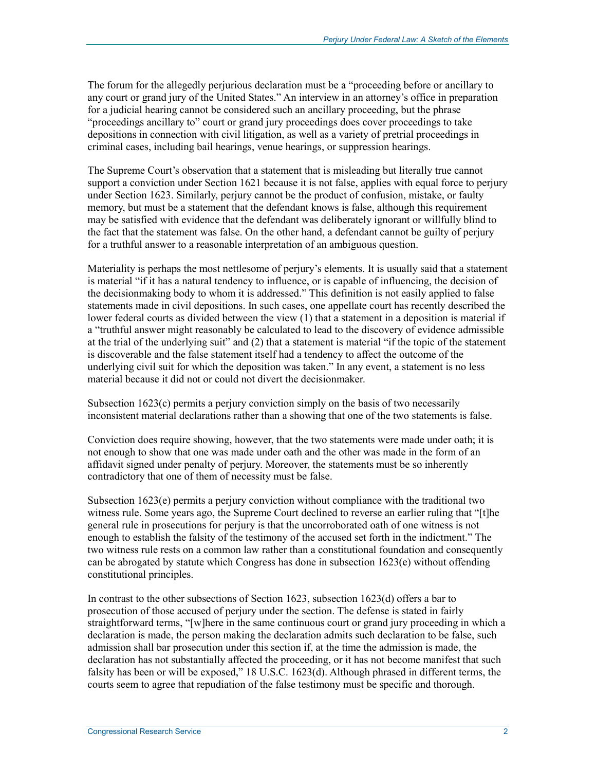The forum for the allegedly perjurious declaration must be a "proceeding before or ancillary to any court or grand jury of the United States." An interview in an attorney's office in preparation for a judicial hearing cannot be considered such an ancillary proceeding, but the phrase "proceedings ancillary to" court or grand jury proceedings does cover proceedings to take depositions in connection with civil litigation, as well as a variety of pretrial proceedings in criminal cases, including bail hearings, venue hearings, or suppression hearings.

The Supreme Court's observation that a statement that is misleading but literally true cannot support a conviction under Section 1621 because it is not false, applies with equal force to perjury under Section 1623. Similarly, perjury cannot be the product of confusion, mistake, or faulty memory, but must be a statement that the defendant knows is false, although this requirement may be satisfied with evidence that the defendant was deliberately ignorant or willfully blind to the fact that the statement was false. On the other hand, a defendant cannot be guilty of perjury for a truthful answer to a reasonable interpretation of an ambiguous question.

Materiality is perhaps the most nettlesome of perjury's elements. It is usually said that a statement is material "if it has a natural tendency to influence, or is capable of influencing, the decision of the decisionmaking body to whom it is addressed." This definition is not easily applied to false statements made in civil depositions. In such cases, one appellate court has recently described the lower federal courts as divided between the view (1) that a statement in a deposition is material if a "truthful answer might reasonably be calculated to lead to the discovery of evidence admissible at the trial of the underlying suit" and (2) that a statement is material "if the topic of the statement is discoverable and the false statement itself had a tendency to affect the outcome of the underlying civil suit for which the deposition was taken." In any event, a statement is no less material because it did not or could not divert the decisionmaker.

Subsection 1623(c) permits a perjury conviction simply on the basis of two necessarily inconsistent material declarations rather than a showing that one of the two statements is false.

Conviction does require showing, however, that the two statements were made under oath; it is not enough to show that one was made under oath and the other was made in the form of an affidavit signed under penalty of perjury. Moreover, the statements must be so inherently contradictory that one of them of necessity must be false.

Subsection 1623(e) permits a perjury conviction without compliance with the traditional two witness rule. Some years ago, the Supreme Court declined to reverse an earlier ruling that "[t]he general rule in prosecutions for perjury is that the uncorroborated oath of one witness is not enough to establish the falsity of the testimony of the accused set forth in the indictment." The two witness rule rests on a common law rather than a constitutional foundation and consequently can be abrogated by statute which Congress has done in subsection 1623(e) without offending constitutional principles.

In contrast to the other subsections of Section 1623, subsection 1623(d) offers a bar to prosecution of those accused of perjury under the section. The defense is stated in fairly straightforward terms, "[w]here in the same continuous court or grand jury proceeding in which a declaration is made, the person making the declaration admits such declaration to be false, such admission shall bar prosecution under this section if, at the time the admission is made, the declaration has not substantially affected the proceeding, or it has not become manifest that such falsity has been or will be exposed," 18 U.S.C. 1623(d). Although phrased in different terms, the courts seem to agree that repudiation of the false testimony must be specific and thorough.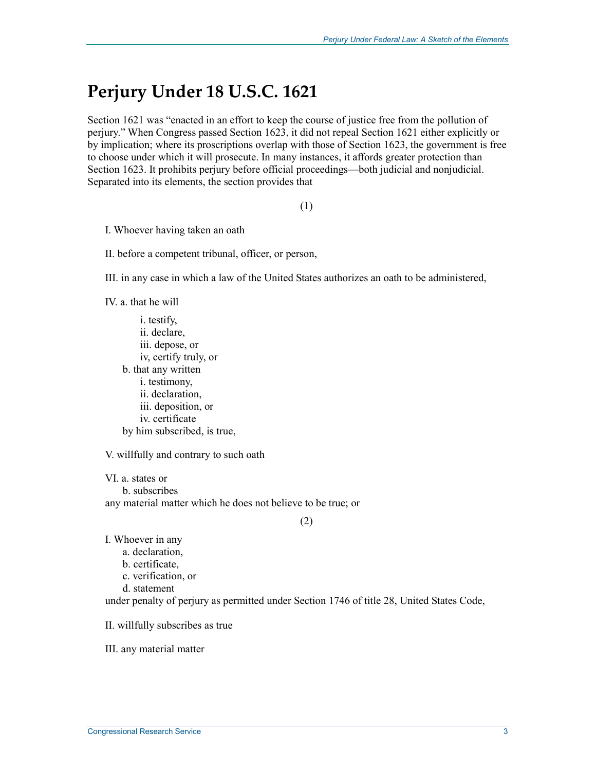#### **Perjury Under 18 U.S.C. 1621**

Section 1621 was "enacted in an effort to keep the course of justice free from the pollution of perjury." When Congress passed Section 1623, it did not repeal Section 1621 either explicitly or by implication; where its proscriptions overlap with those of Section 1623, the government is free to choose under which it will prosecute. In many instances, it affords greater protection than Section 1623. It prohibits perjury before official proceedings—both judicial and nonjudicial. Separated into its elements, the section provides that

(1)

I. Whoever having taken an oath

II. before a competent tribunal, officer, or person,

III. in any case in which a law of the United States authorizes an oath to be administered,

IV. a. that he will

i. testify, ii. declare, iii. depose, or iv, certify truly, or b. that any written i. testimony, ii. declaration, iii. deposition, or iv. certificate by him subscribed, is true,

V. willfully and contrary to such oath

VI. a. states or b. subscribes any material matter which he does not believe to be true; or

(2)

I. Whoever in any

- a. declaration,
- b. certificate,
- c. verification, or

d. statement

under penalty of perjury as permitted under Section 1746 of title 28, United States Code,

II. willfully subscribes as true

III. any material matter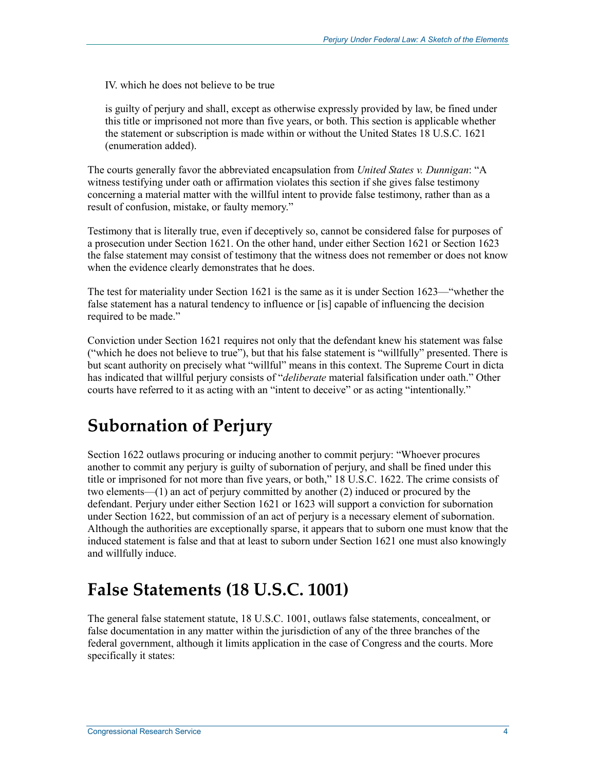IV. which he does not believe to be true

is guilty of perjury and shall, except as otherwise expressly provided by law, be fined under this title or imprisoned not more than five years, or both. This section is applicable whether the statement or subscription is made within or without the United States 18 U.S.C. 1621 (enumeration added).

The courts generally favor the abbreviated encapsulation from *United States v. Dunnigan*: "A witness testifying under oath or affirmation violates this section if she gives false testimony concerning a material matter with the willful intent to provide false testimony, rather than as a result of confusion, mistake, or faulty memory."

Testimony that is literally true, even if deceptively so, cannot be considered false for purposes of a prosecution under Section 1621. On the other hand, under either Section 1621 or Section 1623 the false statement may consist of testimony that the witness does not remember or does not know when the evidence clearly demonstrates that he does.

The test for materiality under Section 1621 is the same as it is under Section 1623—"whether the false statement has a natural tendency to influence or [is] capable of influencing the decision required to be made."

Conviction under Section 1621 requires not only that the defendant knew his statement was false ("which he does not believe to true"), but that his false statement is "willfully" presented. There is but scant authority on precisely what "willful" means in this context. The Supreme Court in dicta has indicated that willful perjury consists of "*deliberate* material falsification under oath." Other courts have referred to it as acting with an "intent to deceive" or as acting "intentionally."

#### **Subornation of Perjury**

Section 1622 outlaws procuring or inducing another to commit perjury: "Whoever procures another to commit any perjury is guilty of subornation of perjury, and shall be fined under this title or imprisoned for not more than five years, or both," 18 U.S.C. 1622. The crime consists of two elements—(1) an act of perjury committed by another (2) induced or procured by the defendant. Perjury under either Section 1621 or 1623 will support a conviction for subornation under Section 1622, but commission of an act of perjury is a necessary element of subornation. Although the authorities are exceptionally sparse, it appears that to suborn one must know that the induced statement is false and that at least to suborn under Section 1621 one must also knowingly and willfully induce.

#### **False Statements (18 U.S.C. 1001)**

The general false statement statute, 18 U.S.C. 1001, outlaws false statements, concealment, or false documentation in any matter within the jurisdiction of any of the three branches of the federal government, although it limits application in the case of Congress and the courts. More specifically it states: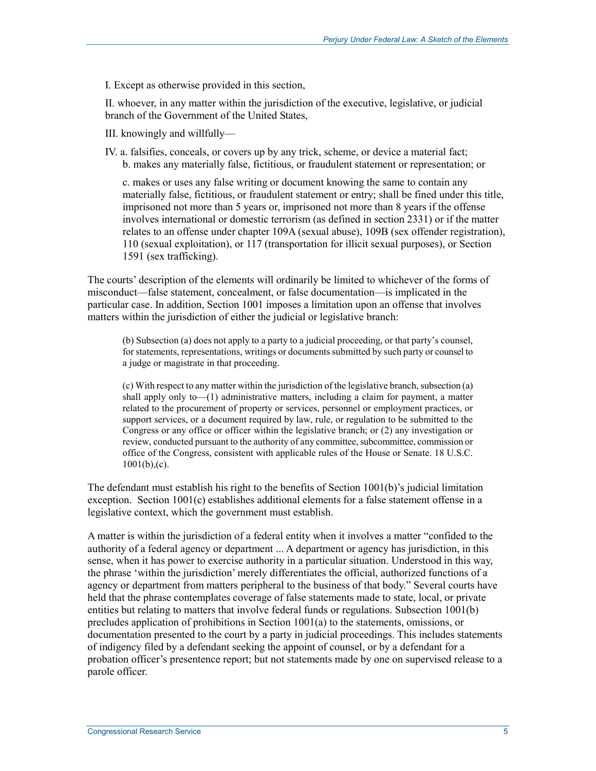I. Except as otherwise provided in this section,

II. whoever, in any matter within the jurisdiction of the executive, legislative, or judicial branch of the Government of the United States,

- III. knowingly and willfully—
- IV. a. falsifies, conceals, or covers up by any trick, scheme, or device a material fact; b. makes any materially false, fictitious, or fraudulent statement or representation; or

c. makes or uses any false writing or document knowing the same to contain any materially false, fictitious, or fraudulent statement or entry; shall be fined under this title, imprisoned not more than 5 years or, imprisoned not more than 8 years if the offense involves international or domestic terrorism (as defined in section 2331) or if the matter relates to an offense under chapter 109A (sexual abuse), 109B (sex offender registration), 110 (sexual exploitation), or 117 (transportation for illicit sexual purposes), or Section 1591 (sex trafficking).

The courts' description of the elements will ordinarily be limited to whichever of the forms of misconduct—false statement, concealment, or false documentation—is implicated in the particular case. In addition, Section 1001 imposes a limitation upon an offense that involves matters within the jurisdiction of either the judicial or legislative branch:

(b) Subsection (a) does not apply to a party to a judicial proceeding, or that party's counsel, for statements, representations, writings or documents submitted by such party or counsel to a judge or magistrate in that proceeding.

(c) With respect to any matter within the jurisdiction of the legislative branch, subsection (a) shall apply only to—(1) administrative matters, including a claim for payment, a matter related to the procurement of property or services, personnel or employment practices, or support services, or a document required by law, rule, or regulation to be submitted to the Congress or any office or officer within the legislative branch; or (2) any investigation or review, conducted pursuant to the authority of any committee, subcommittee, commission or office of the Congress, consistent with applicable rules of the House or Senate. 18 U.S.C.  $1001(b)$ <sub>,</sub>(c).

The defendant must establish his right to the benefits of Section 1001(b)'s judicial limitation exception. Section 1001(c) establishes additional elements for a false statement offense in a legislative context, which the government must establish.

A matter is within the jurisdiction of a federal entity when it involves a matter "confided to the authority of a federal agency or department ... A department or agency has jurisdiction, in this sense, when it has power to exercise authority in a particular situation. Understood in this way, the phrase 'within the jurisdiction' merely differentiates the official, authorized functions of a agency or department from matters peripheral to the business of that body." Several courts have held that the phrase contemplates coverage of false statements made to state, local, or private entities but relating to matters that involve federal funds or regulations. Subsection 1001(b) precludes application of prohibitions in Section 1001(a) to the statements, omissions, or documentation presented to the court by a party in judicial proceedings. This includes statements of indigency filed by a defendant seeking the appoint of counsel, or by a defendant for a probation officer's presentence report; but not statements made by one on supervised release to a parole officer.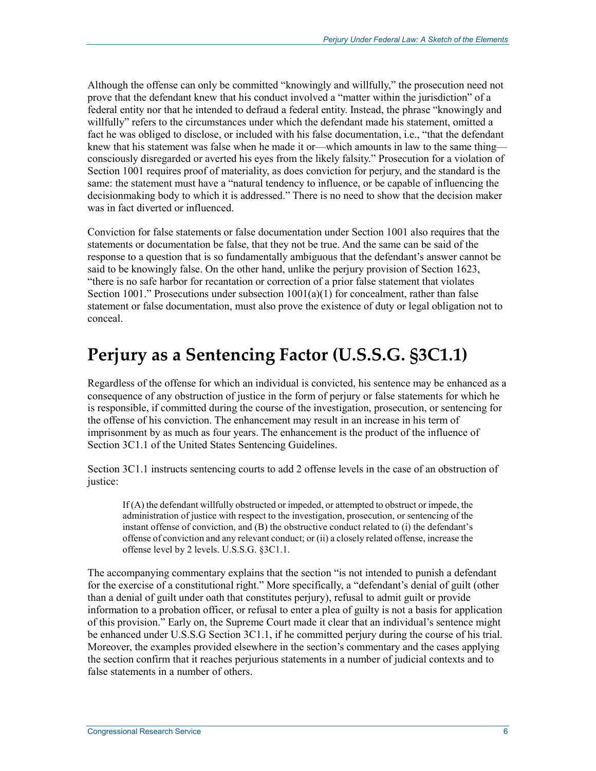Although the offense can only be committed "knowingly and willfully," the prosecution need not prove that the defendant knew that his conduct involved a "matter within the jurisdiction" of a federal entity nor that he intended to defraud a federal entity. Instead, the phrase "knowingly and willfully" refers to the circumstances under which the defendant made his statement, omitted a fact he was obliged to disclose, or included with his false documentation, i.e., "that the defendant knew that his statement was false when he made it or—which amounts in law to the same thing consciously disregarded or averted his eyes from the likely falsity." Prosecution for a violation of Section 1001 requires proof of materiality, as does conviction for perjury, and the standard is the same: the statement must have a "natural tendency to influence, or be capable of influencing the decisionmaking body to which it is addressed." There is no need to show that the decision maker was in fact diverted or influenced.

Conviction for false statements or false documentation under Section 1001 also requires that the statements or documentation be false, that they not be true. And the same can be said of the response to a question that is so fundamentally ambiguous that the defendant's answer cannot be said to be knowingly false. On the other hand, unlike the perjury provision of Section 1623, "there is no safe harbor for recantation or correction of a prior false statement that violates Section 1001." Prosecutions under subsection  $1001(a)(1)$  for concealment, rather than false statement or false documentation, must also prove the existence of duty or legal obligation not to conceal.

#### **Perjury as a Sentencing Factor (U.S.S.G. §3C1.1)**

Regardless of the offense for which an individual is convicted, his sentence may be enhanced as a consequence of any obstruction of justice in the form of perjury or false statements for which he is responsible, if committed during the course of the investigation, prosecution, or sentencing for the offense of his conviction. The enhancement may result in an increase in his term of imprisonment by as much as four years. The enhancement is the product of the influence of Section 3C1.1 of the United States Sentencing Guidelines.

Section 3C1.1 instructs sentencing courts to add 2 offense levels in the case of an obstruction of justice:

If (A) the defendant willfully obstructed or impeded, or attempted to obstruct or impede, the administration of justice with respect to the investigation, prosecution, or sentencing of the instant offense of conviction, and (B) the obstructive conduct related to (i) the defendant's offense of conviction and any relevant conduct; or (ii) a closely related offense, increase the offense level by 2 levels. U.S.S.G. §3C1.1.

The accompanying commentary explains that the section "is not intended to punish a defendant for the exercise of a constitutional right." More specifically, a "defendant's denial of guilt (other than a denial of guilt under oath that constitutes perjury), refusal to admit guilt or provide information to a probation officer, or refusal to enter a plea of guilty is not a basis for application of this provision." Early on, the Supreme Court made it clear that an individual's sentence might be enhanced under U.S.S.G Section 3C1.1, if he committed perjury during the course of his trial. Moreover, the examples provided elsewhere in the section's commentary and the cases applying the section confirm that it reaches perjurious statements in a number of judicial contexts and to false statements in a number of others.